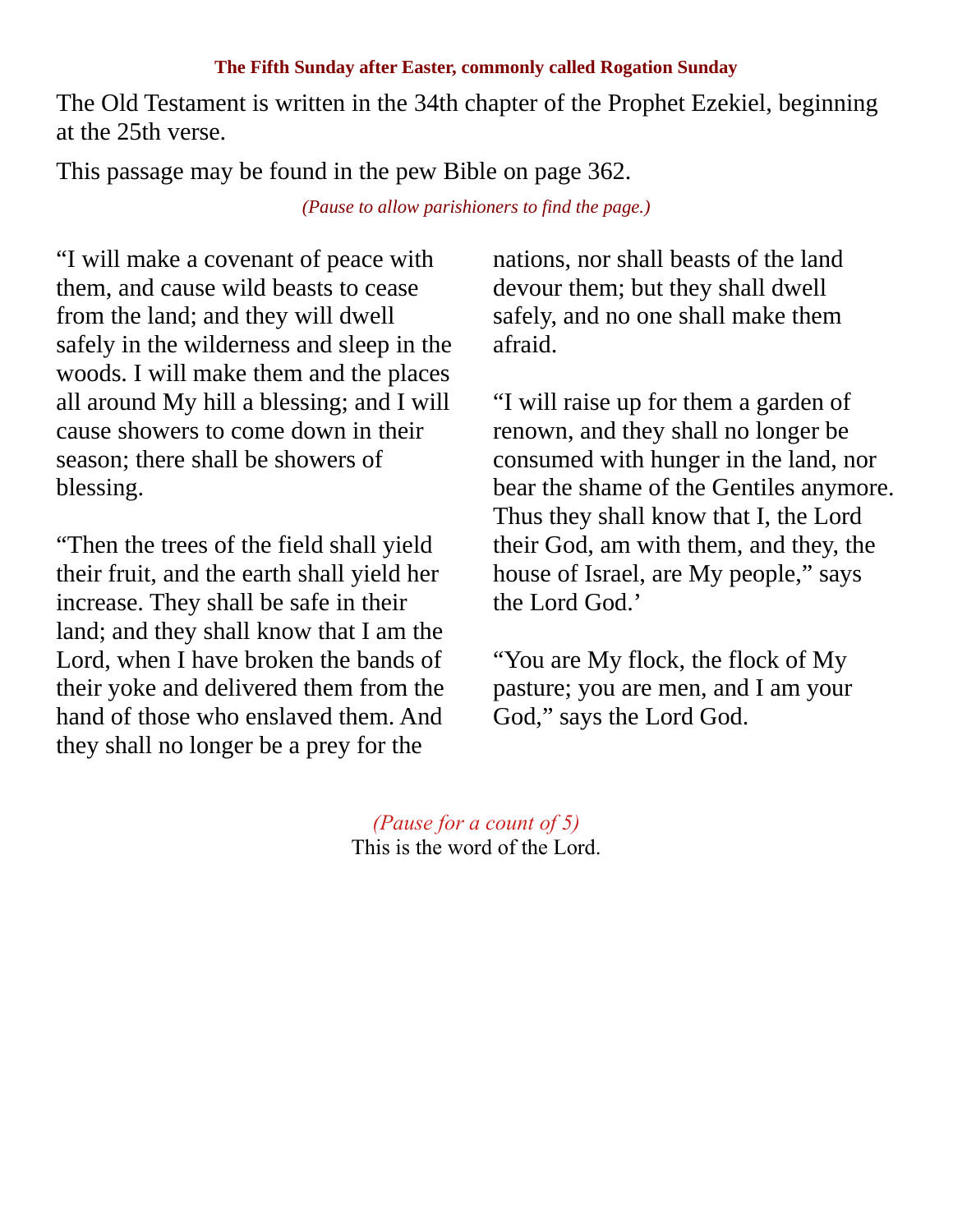## **The Fifth Sunday after Easter, commonly called Rogation Sunday**

The Old Testament is written in the 34th chapter of the Prophet Ezekiel, beginning at the 25th verse.

This passage may be found in the pew Bible on page 362.

*(Pause to allow parishioners to find the page.)*

"I will make a covenant of peace with them, and cause wild beasts to cease from the land; and they will dwell safely in the wilderness and sleep in the woods. I will make them and the places all around My hill a blessing; and I will cause showers to come down in their season; there shall be showers of blessing.

"Then the trees of the field shall yield their fruit, and the earth shall yield her increase. They shall be safe in their land; and they shall know that I am the Lord, when I have broken the bands of their yoke and delivered them from the hand of those who enslaved them. And they shall no longer be a prey for the

nations, nor shall beasts of the land devour them; but they shall dwell safely, and no one shall make them afraid.

"I will raise up for them a garden of renown, and they shall no longer be consumed with hunger in the land, nor bear the shame of the Gentiles anymore. Thus they shall know that I, the Lord their God, am with them, and they, the house of Israel, are My people," says the Lord God.'

"You are My flock, the flock of My pasture; you are men, and I am your God," says the Lord God.

*(Pause for a count of 5)* This is the word of the Lord.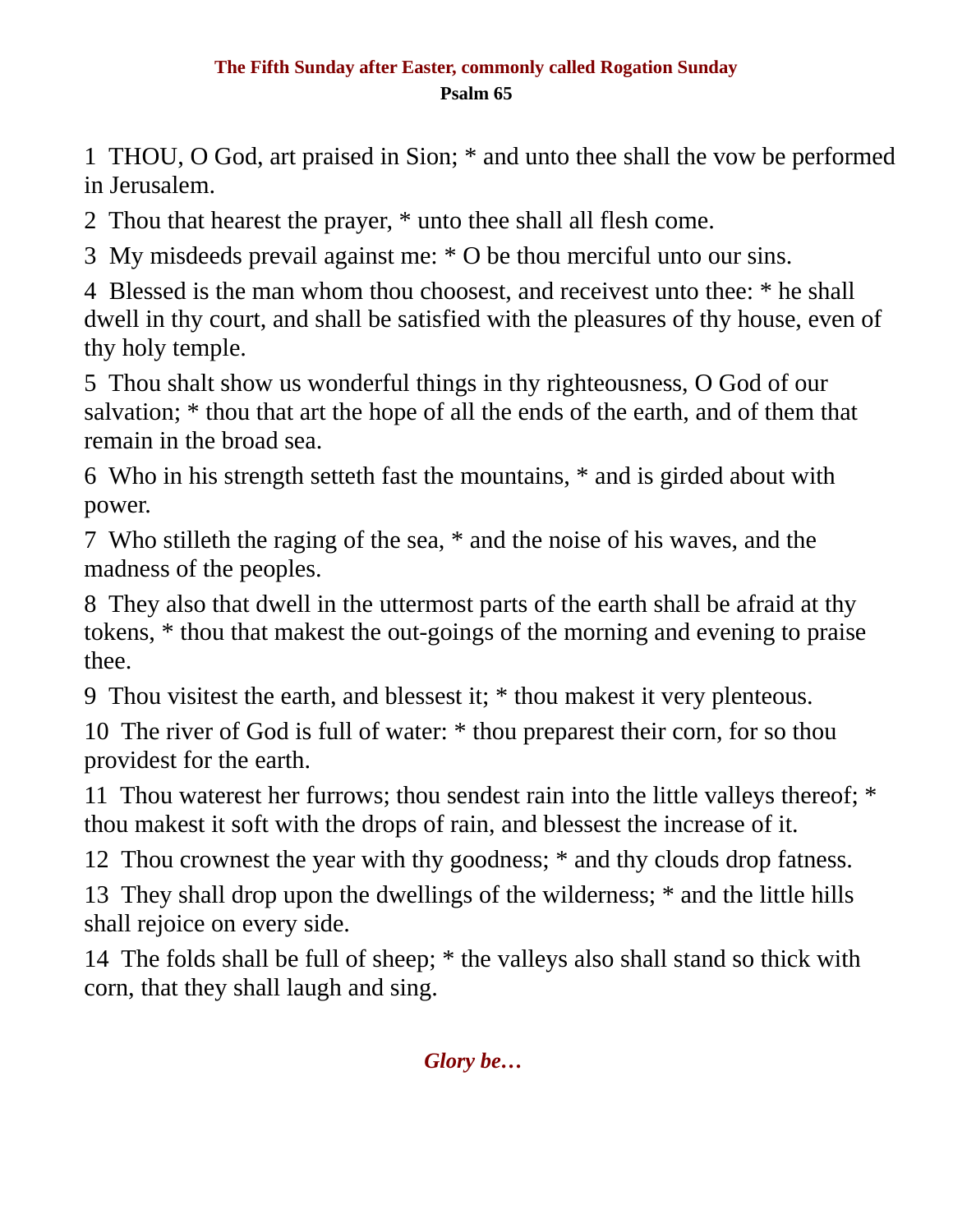## **The Fifth Sunday after Easter, commonly called Rogation Sunday Psalm 65**

1 THOU, O God, art praised in Sion; \* and unto thee shall the vow be performed in Jerusalem.

2 Thou that hearest the prayer, \* unto thee shall all flesh come.

3 My misdeeds prevail against me: \* O be thou merciful unto our sins.

4 Blessed is the man whom thou choosest, and receivest unto thee: \* he shall dwell in thy court, and shall be satisfied with the pleasures of thy house, even of thy holy temple.

5 Thou shalt show us wonderful things in thy righteousness, O God of our salvation; \* thou that art the hope of all the ends of the earth, and of them that remain in the broad sea.

6 Who in his strength setteth fast the mountains, \* and is girded about with power.

7 Who stilleth the raging of the sea, \* and the noise of his waves, and the madness of the peoples.

8 They also that dwell in the uttermost parts of the earth shall be afraid at thy tokens, \* thou that makest the out-goings of the morning and evening to praise thee.

9 Thou visitest the earth, and blessest it; \* thou makest it very plenteous.

10 The river of God is full of water: \* thou preparest their corn, for so thou providest for the earth.

11 Thou waterest her furrows; thou sendest rain into the little valleys thereof; \* thou makest it soft with the drops of rain, and blessest the increase of it.

12 Thou crownest the year with thy goodness; \* and thy clouds drop fatness.

13 They shall drop upon the dwellings of the wilderness; \* and the little hills shall rejoice on every side.

14 The folds shall be full of sheep; \* the valleys also shall stand so thick with corn, that they shall laugh and sing.

*Glory be…*